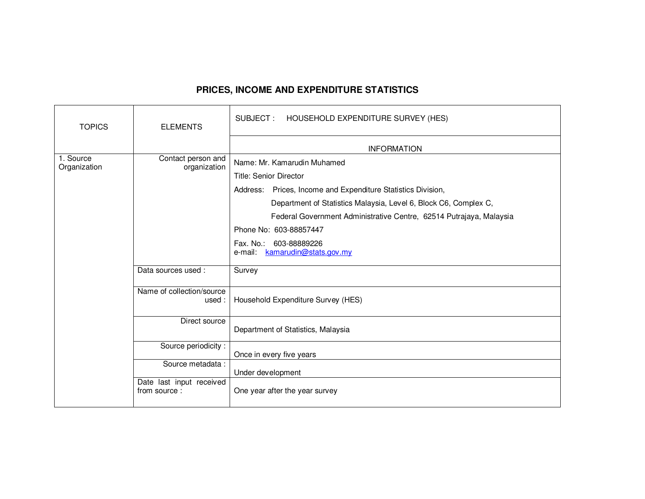## **PRICES, INCOME AND EXPENDITURE STATISTICS**

| <b>TOPICS</b>             | <b>ELEMENTS</b>                          | SUBJECT: HOUSEHOLD EXPENDITURE SURVEY (HES)                         |
|---------------------------|------------------------------------------|---------------------------------------------------------------------|
|                           |                                          | <b>INFORMATION</b>                                                  |
| 1. Source<br>Organization | Contact person and<br>organization       | Name: Mr. Kamarudin Muhamed                                         |
|                           |                                          | Title: Senior Director                                              |
|                           |                                          | Address: Prices, Income and Expenditure Statistics Division,        |
|                           |                                          | Department of Statistics Malaysia, Level 6, Block C6, Complex C,    |
|                           |                                          | Federal Government Administrative Centre, 62514 Putrajaya, Malaysia |
|                           |                                          | Phone No: 603-88857447                                              |
|                           |                                          | Fax. No.: 603-88889226                                              |
|                           |                                          | e-mail: kamarudin@stats.gov.my                                      |
|                           | Data sources used:                       | Survey                                                              |
|                           | Name of collection/source<br>used :      | Household Expenditure Survey (HES)                                  |
|                           | Direct source                            | Department of Statistics, Malaysia                                  |
|                           | Source periodicity:                      | Once in every five years                                            |
|                           | Source metadata:                         |                                                                     |
|                           |                                          | Under development                                                   |
|                           | Date last input received<br>from source: | One year after the year survey                                      |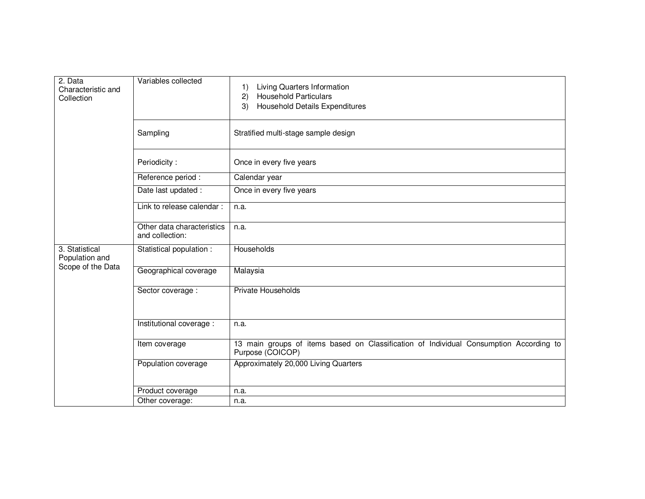| 2. Data<br>Characteristic and<br>Collection           | Variables collected                           | Living Quarters Information<br>$\left( \begin{matrix} 1 \end{matrix} \right)$<br><b>Household Particulars</b><br>2)<br><b>Household Details Expenditures</b><br>3) |
|-------------------------------------------------------|-----------------------------------------------|--------------------------------------------------------------------------------------------------------------------------------------------------------------------|
|                                                       | Sampling                                      | Stratified multi-stage sample design                                                                                                                               |
|                                                       | Periodicity:                                  | Once in every five years                                                                                                                                           |
|                                                       | Reference period :                            | Calendar year                                                                                                                                                      |
|                                                       | Date last updated :                           | Once in every five years                                                                                                                                           |
|                                                       | Link to release calendar :                    | n.a.                                                                                                                                                               |
|                                                       | Other data characteristics<br>and collection: | n.a.                                                                                                                                                               |
| 3. Statistical<br>Population and<br>Scope of the Data | Statistical population :                      | Households                                                                                                                                                         |
|                                                       | Geographical coverage                         | Malaysia                                                                                                                                                           |
|                                                       | Sector coverage :                             | <b>Private Households</b>                                                                                                                                          |
|                                                       | Institutional coverage :                      | n.a.                                                                                                                                                               |
|                                                       | Item coverage                                 | 13 main groups of items based on Classification of Individual Consumption According to<br>Purpose (COICOP)                                                         |
|                                                       | Population coverage                           | Approximately 20,000 Living Quarters                                                                                                                               |
|                                                       | Product coverage                              | n.a.                                                                                                                                                               |
|                                                       | Other coverage:                               | n.a.                                                                                                                                                               |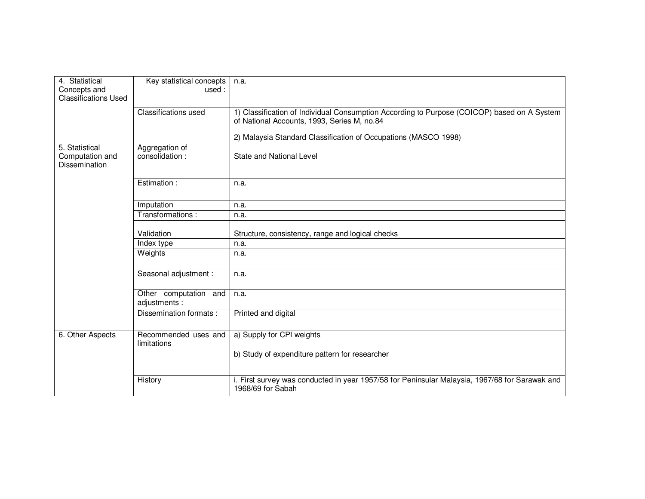| 4. Statistical<br>Concepts and<br><b>Classifications Used</b> | Key statistical concepts<br>used:      | n.a.                                                                                                                                       |
|---------------------------------------------------------------|----------------------------------------|--------------------------------------------------------------------------------------------------------------------------------------------|
|                                                               | <b>Classifications used</b>            | 1) Classification of Individual Consumption According to Purpose (COICOP) based on A System<br>of National Accounts, 1993, Series M, no.84 |
|                                                               |                                        | 2) Malaysia Standard Classification of Occupations (MASCO 1998)                                                                            |
| 5. Statistical<br>Computation and<br>Dissemination            | Aggregation of<br>consolidation:       | <b>State and National Level</b>                                                                                                            |
|                                                               | Estimation:                            | n.a.                                                                                                                                       |
|                                                               | Imputation                             | n.a.                                                                                                                                       |
|                                                               | Transformations:                       | n.a.                                                                                                                                       |
|                                                               | Validation                             | Structure, consistency, range and logical checks                                                                                           |
|                                                               | Index type                             | n.a.                                                                                                                                       |
|                                                               | Weights                                | n.a.                                                                                                                                       |
|                                                               | Seasonal adjustment :                  | n.a.                                                                                                                                       |
|                                                               | Other computation and<br>adjustments : | n.a.                                                                                                                                       |
|                                                               | Dissemination formats:                 | Printed and digital                                                                                                                        |
| 6. Other Aspects                                              | Recommended uses and<br>limitations    | a) Supply for CPI weights                                                                                                                  |
|                                                               |                                        | b) Study of expenditure pattern for researcher                                                                                             |
|                                                               | History                                | i. First survey was conducted in year 1957/58 for Peninsular Malaysia, 1967/68 for Sarawak and<br>1968/69 for Sabah                        |